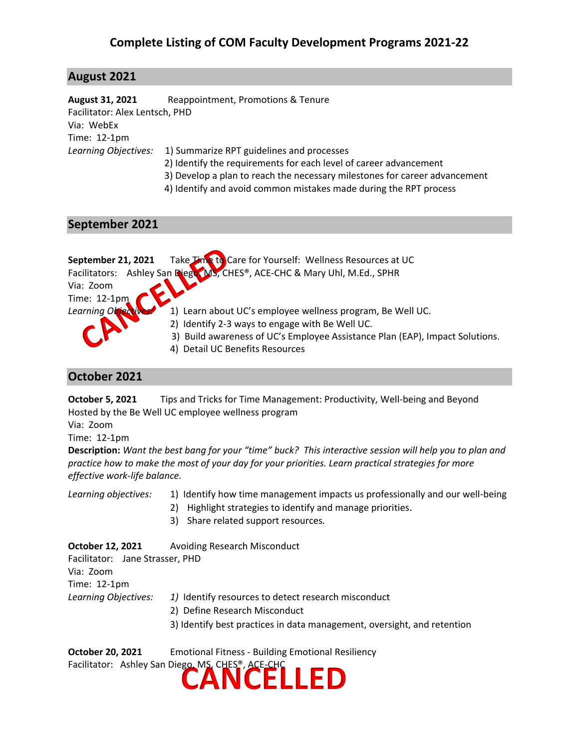## **August 2021**

**August 31, 2021** Reappointment, Promotions & Tenure Facilitator: Alex Lentsch, PHD Via: WebEx Time: 12-1pm *Learning Objectives:* 1) Summarize RPT guidelines and processes 2) Identify the requirements for each level of career advancement

- 3) Develop a plan to reach the necessary milestones for career advancement
- 4) Identify and avoid common mistakes made during the RPT process

### **September 2021**

| September 21, 2021  | Take Time to Care for Yourself: Wellness Resources at UC                     |
|---------------------|------------------------------------------------------------------------------|
|                     | Facilitators: Ashley San Dieger MS, CHES®, ACE-CHC & Mary Uhl, M.Ed., SPHR   |
| Via: Zoom           |                                                                              |
| Time: $12-1$ pm     |                                                                              |
| Learning Objectives | 1) Learn about UC's employee wellness program, Be Well UC.                   |
|                     | 2) Identify 2-3 ways to engage with Be Well UC.                              |
|                     | 3) Build awareness of UC's Employee Assistance Plan (EAP), Impact Solutions. |
|                     | 4) Detail UC Benefits Resources                                              |

#### **October 2021**

**October 5, 2021** Tips and Tricks for Time Management: Productivity, Well-being and Beyond Hosted by the Be Well UC employee wellness program

Via: Zoom

Time: 12-1pm

**Description:** *Want the best bang for your "time" buck? This interactive session will help you to plan and practice how to make the most of your day for your priorities. Learn practical strategies for more effective work-life balance.* 

*Learning objectives:* 1) Identify how time management impacts us professionally and our well-being

- 2) Highlight strategies to identify and manage priorities.
- 3) Share related support resources*.*

**October 12, 2021** Avoiding Research Misconduct Facilitator: Jane Strasser, PHD Via: Zoom Time: 12-1pm *Learning Objectives: 1)* Identify resources to detect research misconduct 2) Define Research Misconduct 3) Identify best practices in data management, oversight, and retention

**CANCELLED October 20, 2021** Emotional Fitness - Building Emotional Resiliency Facilitator: Ashley San Diego, MS, CHES®, ACE-CHC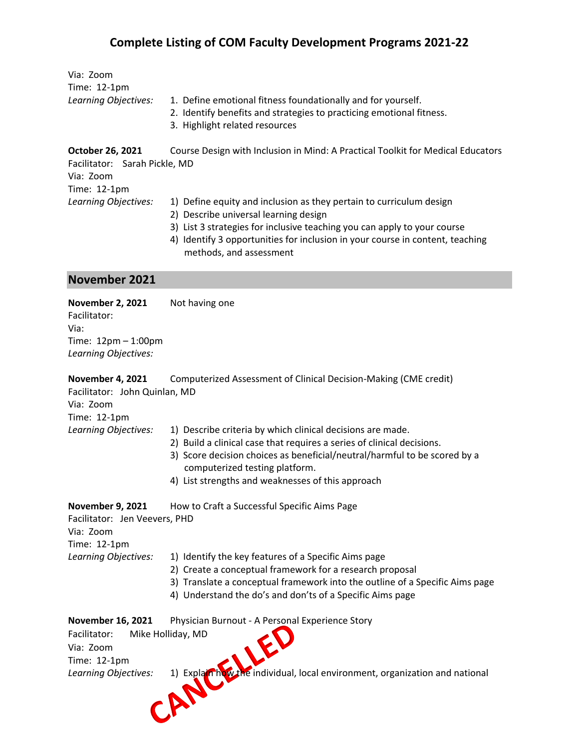| Via: Zoom<br>Time: 12-1pm<br>Learning Objectives:                                              | 1. Define emotional fitness foundationally and for yourself.<br>2. Identify benefits and strategies to practicing emotional fitness.<br>3. Highlight related resources                                                                                                                                   |
|------------------------------------------------------------------------------------------------|----------------------------------------------------------------------------------------------------------------------------------------------------------------------------------------------------------------------------------------------------------------------------------------------------------|
| October 26, 2021<br>Facilitator: Sarah Pickle, MD<br>Via: Zoom<br>Time: 12-1pm                 | Course Design with Inclusion in Mind: A Practical Toolkit for Medical Educators                                                                                                                                                                                                                          |
| Learning Objectives:                                                                           | 1) Define equity and inclusion as they pertain to curriculum design<br>2) Describe universal learning design<br>3) List 3 strategies for inclusive teaching you can apply to your course<br>4) Identify 3 opportunities for inclusion in your course in content, teaching<br>methods, and assessment     |
| <b>November 2021</b>                                                                           |                                                                                                                                                                                                                                                                                                          |
| <b>November 2, 2021</b><br>Facilitator:<br>Via:<br>Time: 12pm - 1:00pm<br>Learning Objectives: | Not having one                                                                                                                                                                                                                                                                                           |
| <b>November 4, 2021</b><br>Facilitator: John Quinlan, MD<br>Via: Zoom<br>Time: 12-1pm          | Computerized Assessment of Clinical Decision-Making (CME credit)                                                                                                                                                                                                                                         |
| Learning Objectives:                                                                           | 1) Describe criteria by which clinical decisions are made.<br>2) Build a clinical case that requires a series of clinical decisions.<br>3) Score decision choices as beneficial/neutral/harmful to be scored by a<br>computerized testing platform.<br>4) List strengths and weaknesses of this approach |
| <b>November 9, 2021</b><br>Facilitator: Jen Veevers, PHD                                       | How to Craft a Successful Specific Aims Page                                                                                                                                                                                                                                                             |

Via: Zoom Time: 12-1pm

- Learning Objectives: 1) Identify the key features of a Specific Aims page
	- 2) Create a conceptual framework for a research proposal
	- 3) Translate a conceptual framework into the outline of a Specific Aims page
	- 4) Understand the do's and don'ts of a Specific Aims page

| <b>November 16, 2021</b><br>Physician Burnout - A Personal Experience Story                         |  |
|-----------------------------------------------------------------------------------------------------|--|
| Mike Holliday, MD<br>Facilitator:                                                                   |  |
| Via: Zoom                                                                                           |  |
| Time: 12-1pm                                                                                        |  |
| 1) Explain how the individual, local environment, organization and national<br>Learning Objectives: |  |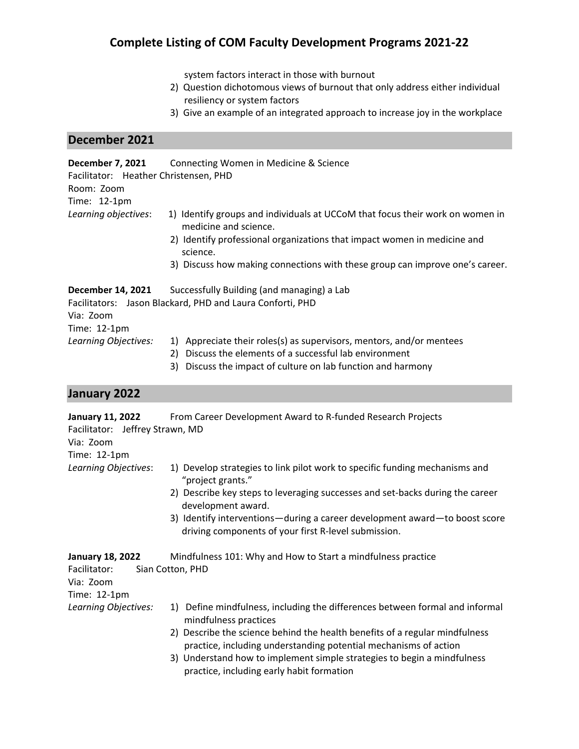system factors interact in those with burnout

- 2) Question dichotomous views of burnout that only address either individual resiliency or system factors
- 3) Give an example of an integrated approach to increase joy in the workplace

## **December 2021**

| December 7, 2021<br>Facilitator: Heather Christensen, PHD<br>Room: Zoom<br>Time: 12-1pm | Connecting Women in Medicine & Science                                                                  |
|-----------------------------------------------------------------------------------------|---------------------------------------------------------------------------------------------------------|
| Learning objectives:                                                                    | 1) Identify groups and individuals at UCCoM that focus their work on women in<br>medicine and science.  |
|                                                                                         | 2) Identify professional organizations that impact women in medicine and<br>science.                    |
|                                                                                         | 3) Discuss how making connections with these group can improve one's career.                            |
| <b>December 14, 2021</b><br>Via: Zoom                                                   | Successfully Building (and managing) a Lab<br>Facilitators: Jason Blackard, PHD and Laura Conforti, PHD |
| Time: 12-1pm                                                                            |                                                                                                         |
| Learning Objectives:                                                                    | 1) Appreciate their roles(s) as supervisors, mentors, and/or mentees                                    |

- 2) Discuss the elements of a successful lab environment
- 3) Discuss the impact of culture on lab function and harmony

## **January 2022**

| January 11, 2022                | From Career Development Award to R-funded Research Projects                                                                                     |
|---------------------------------|-------------------------------------------------------------------------------------------------------------------------------------------------|
| Facilitator: Jeffrey Strawn, MD |                                                                                                                                                 |
| Via: Zoom                       |                                                                                                                                                 |
| Time: 12-1pm                    |                                                                                                                                                 |
| Learning Objectives:            | 1) Develop strategies to link pilot work to specific funding mechanisms and<br>"project grants."                                                |
|                                 | 2) Describe key steps to leveraging successes and set-backs during the career<br>development award.                                             |
|                                 | 3) Identify interventions—during a career development award—to boost score<br>driving components of your first R-level submission.              |
| <b>January 18, 2022</b>         | Mindfulness 101: Why and How to Start a mindfulness practice                                                                                    |
| Facilitator:                    | Sian Cotton, PHD                                                                                                                                |
| Via: Zoom                       |                                                                                                                                                 |
| Time: 12-1pm                    |                                                                                                                                                 |
| Learning Objectives:            | 1) Define mindfulness, including the differences between formal and informal<br>mindfulness practices                                           |
|                                 | 2) Describe the science behind the health benefits of a regular mindfulness<br>practice, including understanding potential mechanisms of action |
|                                 | 3) Understand how to implement simple strategies to begin a mindfulness<br>practice, including early habit formation                            |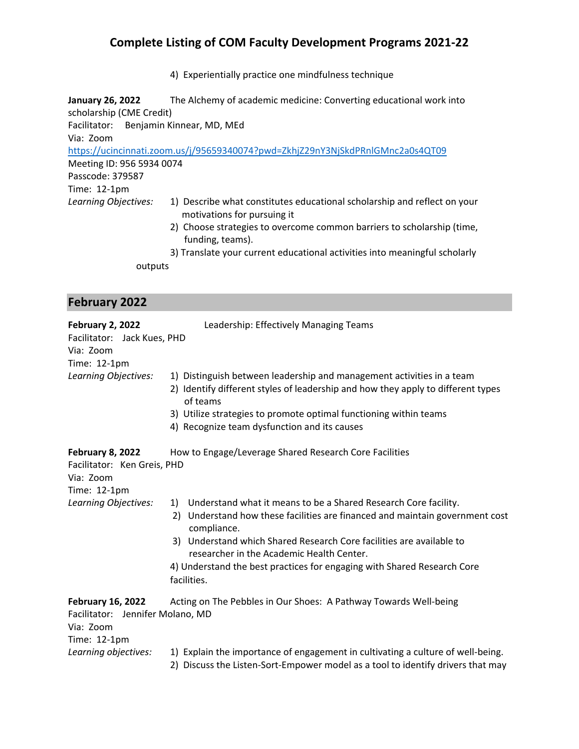4) Experientially practice one mindfulness technique

**January 26, 2022** The Alchemy of academic medicine: Converting educational work into scholarship (CME Credit) Facilitator: Benjamin Kinnear, MD, MEd Via: Zoom <https://ucincinnati.zoom.us/j/95659340074?pwd=ZkhjZ29nY3NjSkdPRnlGMnc2a0s4QT09> Meeting ID: 956 5934 0074 Passcode: 379587 Time: 12-1pm *Learning Objectives:* 1) Describe what constitutes educational scholarship and reflect on your motivations for pursuing it 2) Choose strategies to overcome common barriers to scholarship (time, funding, teams).

3) Translate your current educational activities into meaningful scholarly outputs

#### **February 2022**

| <b>February 2, 2022</b>                                                                   | Leadership: Effectively Managing Teams                                                                                                                                                                                                                                                                                                                                                 |
|-------------------------------------------------------------------------------------------|----------------------------------------------------------------------------------------------------------------------------------------------------------------------------------------------------------------------------------------------------------------------------------------------------------------------------------------------------------------------------------------|
| Facilitator: Jack Kues, PHD<br>Via: Zoom<br>Time: 12-1pm                                  |                                                                                                                                                                                                                                                                                                                                                                                        |
| Learning Objectives:                                                                      | 1) Distinguish between leadership and management activities in a team<br>2) Identify different styles of leadership and how they apply to different types<br>of teams<br>3) Utilize strategies to promote optimal functioning within teams<br>4) Recognize team dysfunction and its causes                                                                                             |
| February 8, 2022<br>Facilitator: Ken Greis, PHD<br>Via: Zoom<br>Time: 12-1pm              | How to Engage/Leverage Shared Research Core Facilities                                                                                                                                                                                                                                                                                                                                 |
| Learning Objectives:                                                                      | Understand what it means to be a Shared Research Core facility.<br>1)<br>Understand how these facilities are financed and maintain government cost<br>2)<br>compliance.<br>3) Understand which Shared Research Core facilities are available to<br>researcher in the Academic Health Center.<br>4) Understand the best practices for engaging with Shared Research Core<br>facilities. |
| <b>February 16, 2022</b><br>Facilitator: Jennifer Molano, MD<br>Via: Zoom<br>Time: 12-1pm | Acting on The Pebbles in Our Shoes: A Pathway Towards Well-being                                                                                                                                                                                                                                                                                                                       |
| Learning objectives:                                                                      | 1) Explain the importance of engagement in cultivating a culture of well-being.<br>2) Discuss the Listen-Sort-Empower model as a tool to identify drivers that may                                                                                                                                                                                                                     |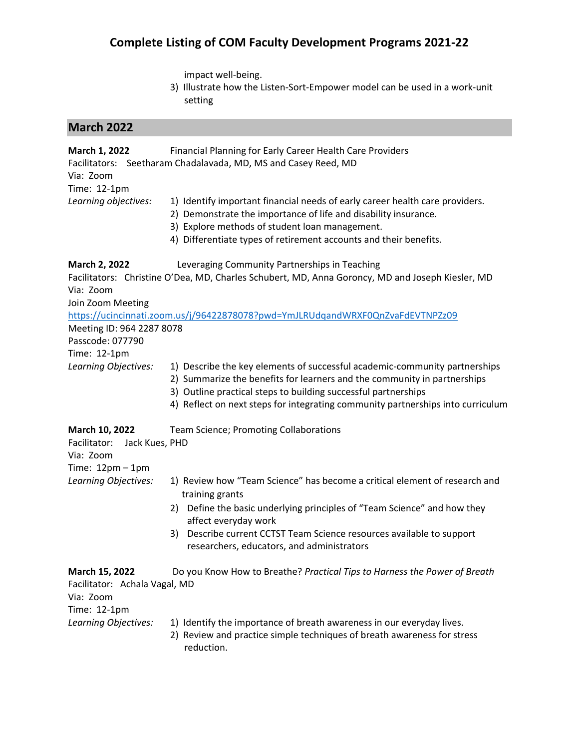impact well-being.

3) Illustrate how the Listen-Sort-Empower model can be used in a work-unit setting

# **March 2022**

| March 1, 2022<br>Via: Zoom<br>Time: 12-1pm                                          | Financial Planning for Early Career Health Care Providers<br>Facilitators: Seetharam Chadalavada, MD, MS and Casey Reed, MD                                                                                                                                                                                 |
|-------------------------------------------------------------------------------------|-------------------------------------------------------------------------------------------------------------------------------------------------------------------------------------------------------------------------------------------------------------------------------------------------------------|
| Learning objectives:                                                                | 1) Identify important financial needs of early career health care providers.<br>2) Demonstrate the importance of life and disability insurance.<br>3) Explore methods of student loan management.<br>4) Differentiate types of retirement accounts and their benefits.                                      |
| March 2, 2022<br>Via: Zoom<br>Join Zoom Meeting                                     | Leveraging Community Partnerships in Teaching<br>Facilitators: Christine O'Dea, MD, Charles Schubert, MD, Anna Goroncy, MD and Joseph Kiesler, MD                                                                                                                                                           |
| Meeting ID: 964 2287 8078<br>Passcode: 077790<br>Time: 12-1pm                       | https://ucincinnati.zoom.us/j/96422878078?pwd=YmJLRUdqandWRXF0QnZvaFdEVTNPZz09                                                                                                                                                                                                                              |
| Learning Objectives:                                                                | 1) Describe the key elements of successful academic-community partnerships<br>2) Summarize the benefits for learners and the community in partnerships<br>3) Outline practical steps to building successful partnerships<br>4) Reflect on next steps for integrating community partnerships into curriculum |
| March 10, 2022<br>Facilitator:<br>Jack Kues, PHD<br>Via: Zoom<br>Time: $12pm - 1pm$ | Team Science; Promoting Collaborations                                                                                                                                                                                                                                                                      |
| Learning Objectives:                                                                | 1) Review how "Team Science" has become a critical element of research and<br>training grants                                                                                                                                                                                                               |
|                                                                                     | 2) Define the basic underlying principles of "Team Science" and how they<br>affect everyday work<br>Describe current CCTST Team Science resources available to support<br>3)<br>researchers, educators, and administrators                                                                                  |
| March 15, 2022<br>Facilitator: Achala Vagal, MD<br>Via: Zoom<br>Time: 12-1pm        | Do you Know How to Breathe? Practical Tips to Harness the Power of Breath                                                                                                                                                                                                                                   |
| Learning Objectives:                                                                | 1) Identify the importance of breath awareness in our everyday lives.<br>2) Review and practice simple techniques of breath awareness for stress<br>reduction.                                                                                                                                              |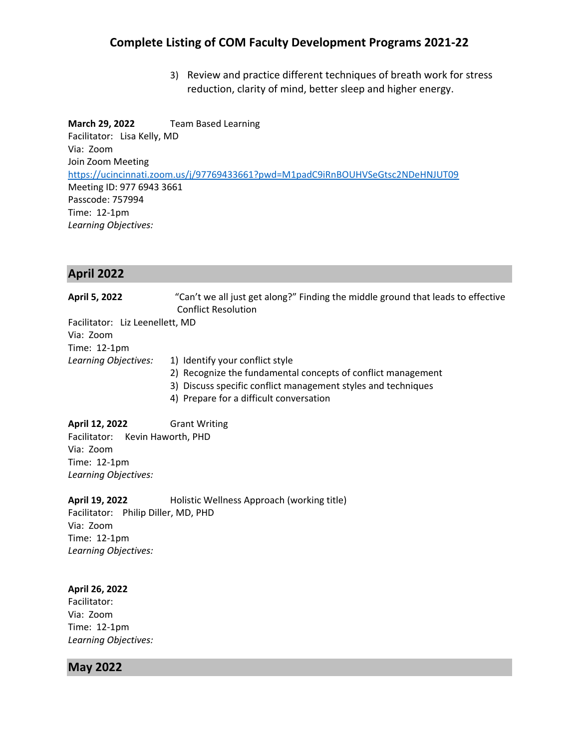3) Review and practice different techniques of breath work for stress reduction, clarity of mind, better sleep and higher energy.

**March 29, 2022** Team Based Learning Facilitator: Lisa Kelly, MD Via: Zoom Join Zoom Meeting <https://ucincinnati.zoom.us/j/97769433661?pwd=M1padC9iRnBOUHVSeGtsc2NDeHNJUT09> Meeting ID: 977 6943 3661 Passcode: 757994 Time: 12-1pm *Learning Objectives:*

### **April 2022**

**April 5, 2022** "Can't we all just get along?" Finding the middle ground that leads to effective Conflict Resolution

Facilitator: Liz Leenellett, MD Via: Zoom Time: 12-1pm

- *Learning Objectives:* 1) Identify your conflict style
	- - 2) Recognize the fundamental concepts of conflict management 3) Discuss specific conflict management styles and techniques
		- 4) Prepare for a difficult conversation

**April 12, 2022** Grant Writing Facilitator: Kevin Haworth, PHD Via: Zoom Time: 12-1pm *Learning Objectives:* 

**April 19, 2022** Holistic Wellness Approach (working title) Facilitator: Philip Diller, MD, PHD

Via: Zoom Time: 12-1pm *Learning Objectives:*

#### **April 26, 2022**

Facilitator: Via: Zoom Time: 12-1pm *Learning Objectives:*

### **May 2022**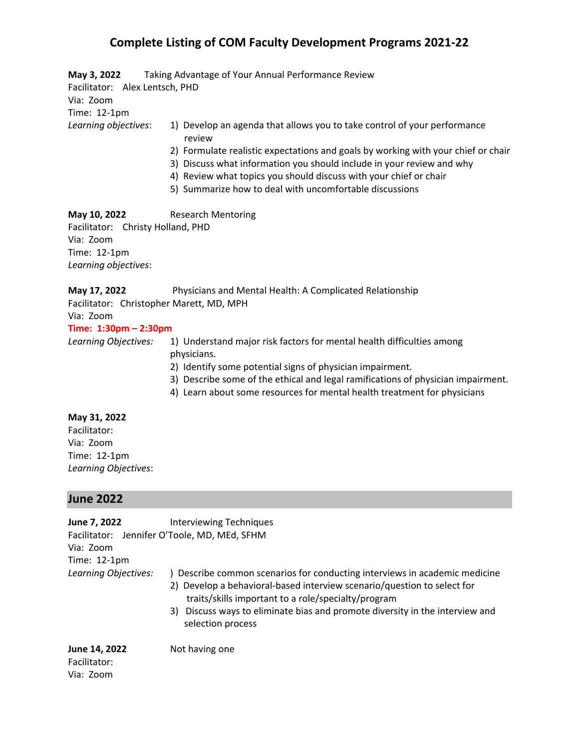| May 3, 2022                    | Taking Advantage of Your Annual Performance Review                                 |
|--------------------------------|------------------------------------------------------------------------------------|
| Facilitator: Alex Lentsch, PHD |                                                                                    |
| Via: Zoom                      |                                                                                    |
| Time: 12-1pm                   |                                                                                    |
| Learning objectives:           | 1) Develop an agenda that allows you to take control of your performance<br>review |
|                                | 2) Formulate realistic expectations and goals by working with your chief or chair  |
|                                | 3) Discuss what information you should include in your review and why              |
|                                | 4) Review what topics you should discuss with your chief or chair                  |
|                                | 5) Summarize how to deal with uncomfortable discussions                            |
|                                |                                                                                    |

**May 10, 2022** Research Mentoring Facilitator: Christy Holland, PHD Via: Zoom Time: 12-1pm *Learning objectives*:

| May 17, 2022 | Physicians and Mental Health: A Complicated Relationship |
|--------------|----------------------------------------------------------|
|              | Facilitator: Christopher Marett, MD, MPH                 |

# Via: Zoom

## **Time: 1:30pm – 2:30pm**

- *Learning Objectives:* 1)Understand major risk factors for mental health difficulties among physicians.
	- 2) Identify some potential signs of physician impairment.
	- 3) Describe some of the ethical and legal ramifications of physician impairment.
	- 4) Learn about some resources for mental health treatment for physicians

#### **May 31, 2022**

Facilitator: Via: Zoom Time: 12-1pm *Learning Objectives*:

#### **June 2022**

| June 7, 2022<br>Via: Zoom<br>Time: 12-1pm  | <b>Interviewing Techniques</b><br>Facilitator: Jennifer O'Toole, MD, MEd, SFHM                                                                                                                                                                                                                                    |
|--------------------------------------------|-------------------------------------------------------------------------------------------------------------------------------------------------------------------------------------------------------------------------------------------------------------------------------------------------------------------|
| Learning Objectives:                       | ) Describe common scenarios for conducting interviews in academic medicine<br>2) Develop a behavioral-based interview scenario/question to select for<br>traits/skills important to a role/specialty/program<br>3) Discuss ways to eliminate bias and promote diversity in the interview and<br>selection process |
| June 14, 2022<br>Facilitator:<br>Via: Zoom | Not having one                                                                                                                                                                                                                                                                                                    |